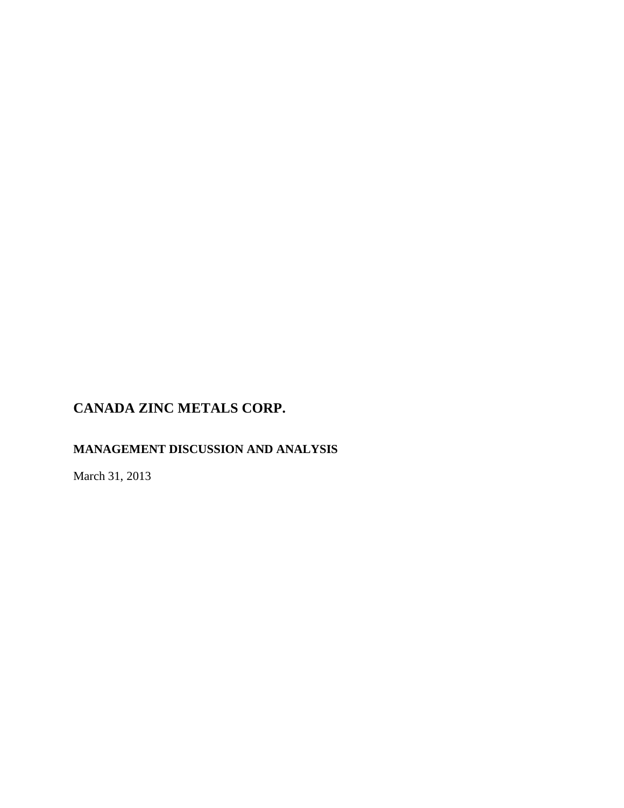# **MANAGEMENT DISCUSSION AND ANALYSIS**

March 31, 2013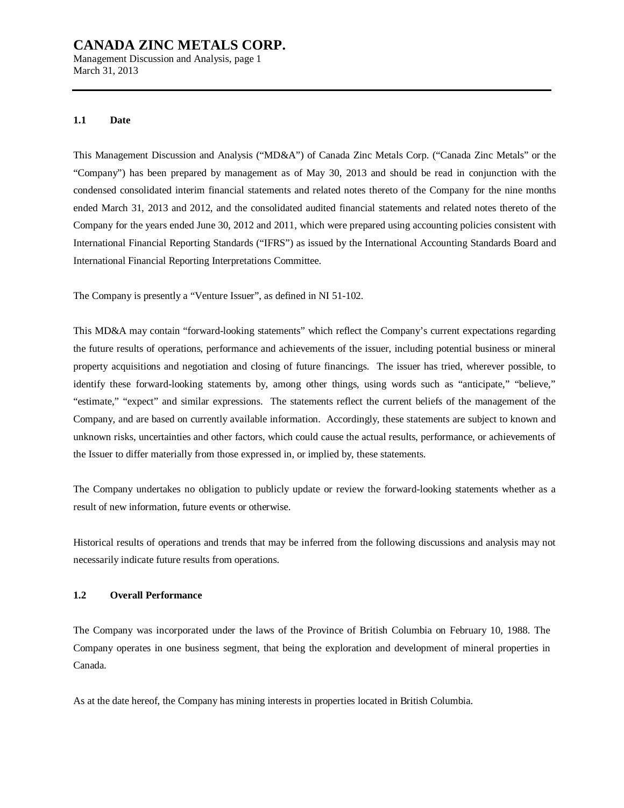Management Discussion and Analysis, page 1 March 31, 2013

#### **1.1 Date**

This Management Discussion and Analysis ("MD&A") of Canada Zinc Metals Corp. ("Canada Zinc Metals" or the "Company") has been prepared by management as of May 30, 2013 and should be read in conjunction with the condensed consolidated interim financial statements and related notes thereto of the Company for the nine months ended March 31, 2013 and 2012, and the consolidated audited financial statements and related notes thereto of the Company for the years ended June 30, 2012 and 2011, which were prepared using accounting policies consistent with International Financial Reporting Standards ("IFRS") as issued by the International Accounting Standards Board and International Financial Reporting Interpretations Committee.

The Company is presently a "Venture Issuer", as defined in NI 51-102.

This MD&A may contain "forward-looking statements" which reflect the Company's current expectations regarding the future results of operations, performance and achievements of the issuer, including potential business or mineral property acquisitions and negotiation and closing of future financings. The issuer has tried, wherever possible, to identify these forward-looking statements by, among other things, using words such as "anticipate," "believe," "estimate," "expect" and similar expressions. The statements reflect the current beliefs of the management of the Company, and are based on currently available information. Accordingly, these statements are subject to known and unknown risks, uncertainties and other factors, which could cause the actual results, performance, or achievements of the Issuer to differ materially from those expressed in, or implied by, these statements.

The Company undertakes no obligation to publicly update or review the forward-looking statements whether as a result of new information, future events or otherwise.

Historical results of operations and trends that may be inferred from the following discussions and analysis may not necessarily indicate future results from operations.

### **1.2 Overall Performance**

The Company was incorporated under the laws of the Province of British Columbia on February 10, 1988. The Company operates in one business segment, that being the exploration and development of mineral properties in Canada.

As at the date hereof, the Company has mining interests in properties located in British Columbia.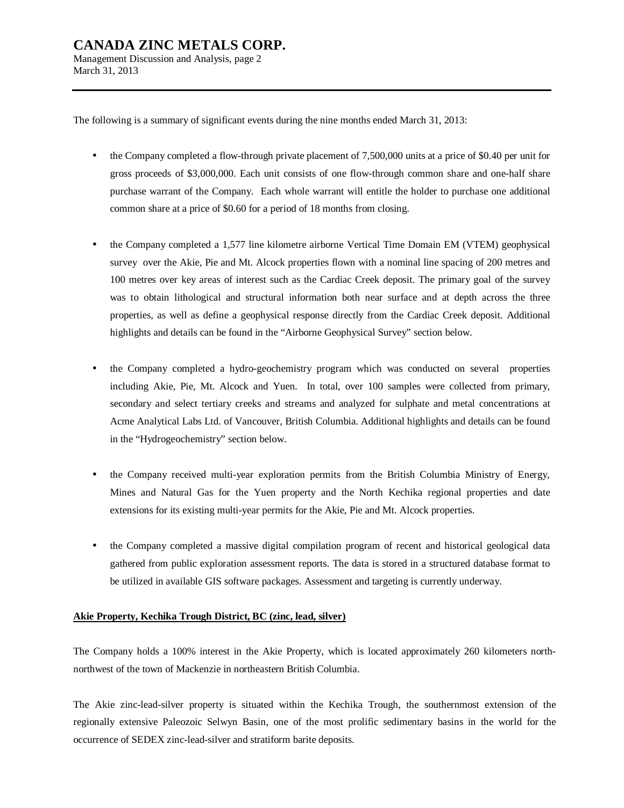March 31, 2013

The following is a summary of significant events during the nine months ended March 31, 2013:

- the Company completed a flow-through private placement of 7,500,000 units at a price of \$0.40 per unit for gross proceeds of \$3,000,000. Each unit consists of one flow-through common share and one-half share purchase warrant of the Company. Each whole warrant will entitle the holder to purchase one additional common share at a price of \$0.60 for a period of 18 months from closing.
- the Company completed a 1,577 line kilometre airborne Vertical Time Domain EM (VTEM) geophysical survey over the Akie, Pie and Mt. Alcock properties flown with a nominal line spacing of 200 metres and 100 metres over key areas of interest such as the Cardiac Creek deposit. The primary goal of the survey was to obtain lithological and structural information both near surface and at depth across the three properties, as well as define a geophysical response directly from the Cardiac Creek deposit. Additional highlights and details can be found in the "Airborne Geophysical Survey" section below.
- the Company completed a hydro-geochemistry program which was conducted on several properties including Akie, Pie, Mt. Alcock and Yuen. In total, over 100 samples were collected from primary, secondary and select tertiary creeks and streams and analyzed for sulphate and metal concentrations at Acme Analytical Labs Ltd. of Vancouver, British Columbia. Additional highlights and details can be found in the "Hydrogeochemistry" section below.
- the Company received multi-year exploration permits from the British Columbia Ministry of Energy, Mines and Natural Gas for the Yuen property and the North Kechika regional properties and date extensions for its existing multi-year permits for the Akie, Pie and Mt. Alcock properties.
- the Company completed a massive digital compilation program of recent and historical geological data gathered from public exploration assessment reports. The data is stored in a structured database format to be utilized in available GIS software packages. Assessment and targeting is currently underway.

#### **Akie Property, Kechika Trough District, BC (zinc, lead, silver)**

The Company holds a 100% interest in the Akie Property, which is located approximately 260 kilometers northnorthwest of the town of Mackenzie in northeastern British Columbia.

The Akie zinc-lead-silver property is situated within the Kechika Trough, the southernmost extension of the regionally extensive Paleozoic Selwyn Basin, one of the most prolific sedimentary basins in the world for the occurrence of SEDEX zinc-lead-silver and stratiform barite deposits.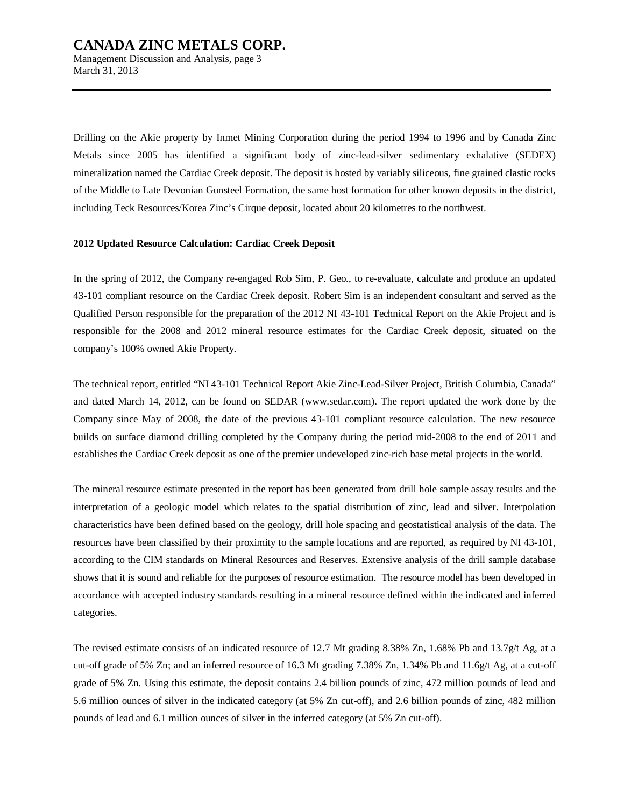March 31, 2013

Drilling on the Akie property by Inmet Mining Corporation during the period 1994 to 1996 and by Canada Zinc Metals since 2005 has identified a significant body of zinc-lead-silver sedimentary exhalative (SEDEX) mineralization named the Cardiac Creek deposit. The deposit is hosted by variably siliceous, fine grained clastic rocks of the Middle to Late Devonian Gunsteel Formation, the same host formation for other known deposits in the district, including Teck Resources/Korea Zinc's Cirque deposit, located about 20 kilometres to the northwest.

#### **2012 Updated Resource Calculation: Cardiac Creek Deposit**

In the spring of 2012, the Company re-engaged Rob Sim, P. Geo., to re-evaluate, calculate and produce an updated 43-101 compliant resource on the Cardiac Creek deposit. Robert Sim is an independent consultant and served as the Qualified Person responsible for the preparation of the 2012 NI 43-101 Technical Report on the Akie Project and is responsible for the 2008 and 2012 mineral resource estimates for the Cardiac Creek deposit, situated on the company's 100% owned Akie Property.

The technical report, entitled "NI 43-101 Technical Report Akie Zinc-Lead-Silver Project, British Columbia, Canada" and dated March 14, 2012, can be found on SEDAR [\(www.sedar.com\).](http://www.sedar.com)) The report updated the work done by the Company since May of 2008, the date of the previous 43-101 compliant resource calculation. The new resource builds on surface diamond drilling completed by the Company during the period mid-2008 to the end of 2011 and establishes the Cardiac Creek deposit as one of the premier undeveloped zinc-rich base metal projects in the world.

The mineral resource estimate presented in the report has been generated from drill hole sample assay results and the interpretation of a geologic model which relates to the spatial distribution of zinc, lead and silver. Interpolation characteristics have been defined based on the geology, drill hole spacing and geostatistical analysis of the data. The resources have been classified by their proximity to the sample locations and are reported, as required by NI 43-101, according to the CIM standards on Mineral Resources and Reserves. Extensive analysis of the drill sample database shows that it is sound and reliable for the purposes of resource estimation. The resource model has been developed in accordance with accepted industry standards resulting in a mineral resource defined within the indicated and inferred categories.

The revised estimate consists of an indicated resource of 12.7 Mt grading 8.38% Zn, 1.68% Pb and 13.7g/t Ag, at a cut-off grade of 5% Zn; and an inferred resource of 16.3 Mt grading 7.38% Zn, 1.34% Pb and 11.6g/t Ag, at a cut-off grade of 5% Zn. Using this estimate, the deposit contains 2.4 billion pounds of zinc, 472 million pounds of lead and 5.6 million ounces of silver in the indicated category (at 5% Zn cut-off), and 2.6 billion pounds of zinc, 482 million pounds of lead and 6.1 million ounces of silver in the inferred category (at 5% Zn cut-off).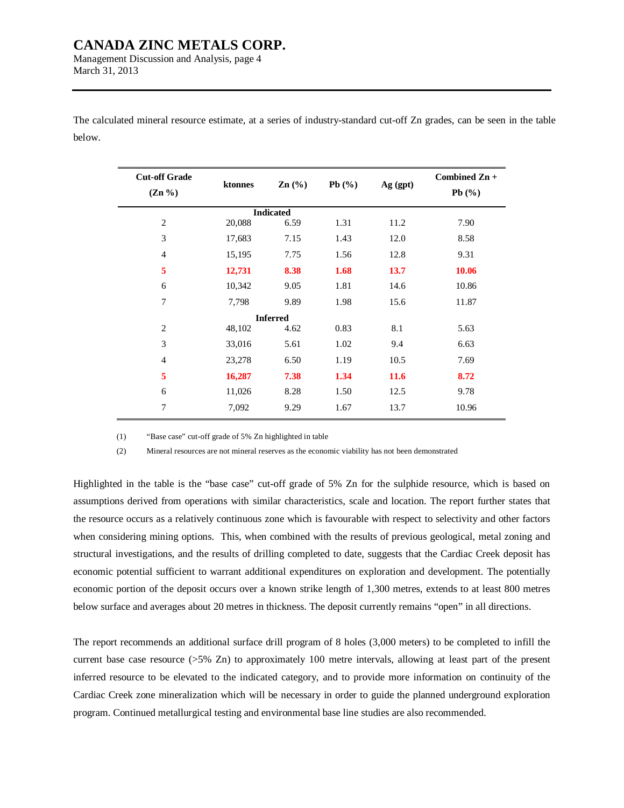Management Discussion and Analysis, page 4 March 31, 2013

The calculated mineral resource estimate, at a series of industry-standard cut-off Zn grades, can be seen in the table below.

| <b>Cut-off Grade</b><br>$(Zn\% )$ | ktonnes | $\mathbf{Zn}$ (%) | Pb $(\%)$ | Ag (gpt) | Combined Zn +<br>Pb $(\%)$ |  |
|-----------------------------------|---------|-------------------|-----------|----------|----------------------------|--|
|                                   |         | <b>Indicated</b>  |           |          |                            |  |
| $\overline{2}$                    | 20,088  | 6.59              | 1.31      | 11.2     | 7.90                       |  |
| 3                                 | 17,683  | 7.15              | 1.43      | 12.0     | 8.58                       |  |
| $\overline{4}$                    | 15,195  | 7.75              | 1.56      | 12.8     | 9.31                       |  |
| 5                                 | 12,731  | 8.38              | 1.68      | 13.7     | 10.06                      |  |
| 6                                 | 10,342  | 9.05              | 1.81      | 14.6     | 10.86                      |  |
| 7                                 | 7,798   | 9.89              | 1.98      | 15.6     | 11.87                      |  |
|                                   |         | <b>Inferred</b>   |           |          |                            |  |
| $\overline{2}$                    | 48,102  | 4.62              | 0.83      | 8.1      | 5.63                       |  |
| 3                                 | 33,016  | 5.61              | 1.02      | 9.4      | 6.63                       |  |
| $\overline{4}$                    | 23,278  | 6.50              | 1.19      | 10.5     | 7.69                       |  |
| 5                                 | 16,287  | 7.38              | 1.34      | 11.6     | 8.72                       |  |
| 6                                 | 11,026  | 8.28              | 1.50      | 12.5     | 9.78                       |  |
| 7                                 | 7,092   | 9.29              | 1.67      | 13.7     | 10.96                      |  |

(1) "Base case" cut-off grade of 5% Zn highlighted in table

(2) Mineral resources are not mineral reserves as the economic viability has not been demonstrated

Highlighted in the table is the "base case" cut-off grade of 5% Zn for the sulphide resource, which is based on assumptions derived from operations with similar characteristics, scale and location. The report further states that the resource occurs as a relatively continuous zone which is favourable with respect to selectivity and other factors when considering mining options. This, when combined with the results of previous geological, metal zoning and structural investigations, and the results of drilling completed to date, suggests that the Cardiac Creek deposit has economic potential sufficient to warrant additional expenditures on exploration and development. The potentially economic portion of the deposit occurs over a known strike length of 1,300 metres, extends to at least 800 metres below surface and averages about 20 metres in thickness. The deposit currently remains "open" in all directions.

The report recommends an additional surface drill program of 8 holes (3,000 meters) to be completed to infill the current base case resource (>5% Zn) to approximately 100 metre intervals, allowing at least part of the present inferred resource to be elevated to the indicated category, and to provide more information on continuity of the Cardiac Creek zone mineralization which will be necessary in order to guide the planned underground exploration program. Continued metallurgical testing and environmental base line studies are also recommended.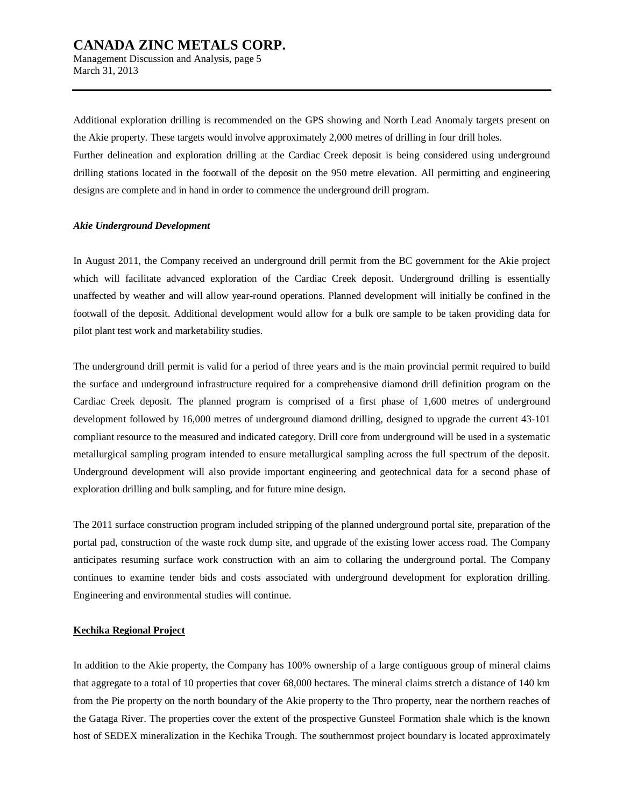Management Discussion and Analysis, page 5 March 31, 2013

Additional exploration drilling is recommended on the GPS showing and North Lead Anomaly targets present on the Akie property. These targets would involve approximately 2,000 metres of drilling in four drill holes.

Further delineation and exploration drilling at the Cardiac Creek deposit is being considered using underground drilling stations located in the footwall of the deposit on the 950 metre elevation. All permitting and engineering designs are complete and in hand in order to commence the underground drill program.

#### *Akie Underground Development*

In August 2011, the Company received an underground drill permit from the BC government for the Akie project which will facilitate advanced exploration of the Cardiac Creek deposit. Underground drilling is essentially unaffected by weather and will allow year-round operations. Planned development will initially be confined in the footwall of the deposit. Additional development would allow for a bulk ore sample to be taken providing data for pilot plant test work and marketability studies.

The underground drill permit is valid for a period of three years and is the main provincial permit required to build the surface and underground infrastructure required for a comprehensive diamond drill definition program on the Cardiac Creek deposit. The planned program is comprised of a first phase of 1,600 metres of underground development followed by 16,000 metres of underground diamond drilling, designed to upgrade the current 43-101 compliant resource to the measured and indicated category. Drill core from underground will be used in a systematic metallurgical sampling program intended to ensure metallurgical sampling across the full spectrum of the deposit. Underground development will also provide important engineering and geotechnical data for a second phase of exploration drilling and bulk sampling, and for future mine design.

The 2011 surface construction program included stripping of the planned underground portal site, preparation of the portal pad, construction of the waste rock dump site, and upgrade of the existing lower access road. The Company anticipates resuming surface work construction with an aim to collaring the underground portal. The Company continues to examine tender bids and costs associated with underground development for exploration drilling. Engineering and environmental studies will continue.

### **Kechika Regional Project**

In addition to the Akie property, the Company has 100% ownership of a large contiguous group of mineral claims that aggregate to a total of 10 properties that cover 68,000 hectares. The mineral claims stretch a distance of 140 km from the Pie property on the north boundary of the Akie property to the Thro property, near the northern reaches of the Gataga River. The properties cover the extent of the prospective Gunsteel Formation shale which is the known host of SEDEX mineralization in the Kechika Trough. The southernmost project boundary is located approximately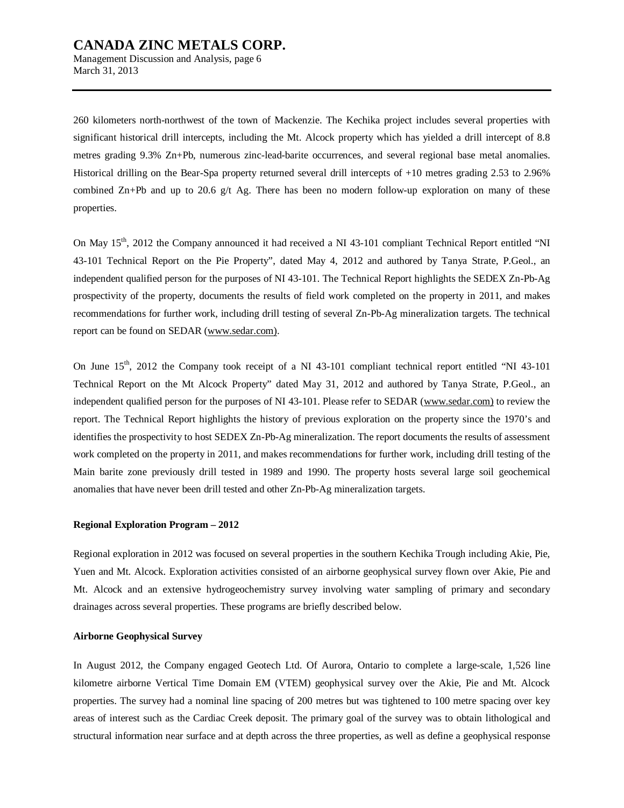Management Discussion and Analysis, page 6 March 31, 2013

260 kilometers north-northwest of the town of Mackenzie. The Kechika project includes several properties with significant historical drill intercepts, including the Mt. Alcock property which has yielded a drill intercept of 8.8 metres grading 9.3% Zn+Pb, numerous zinc-lead-barite occurrences, and several regional base metal anomalies. Historical drilling on the Bear-Spa property returned several drill intercepts of +10 metres grading 2.53 to 2.96% combined  $Zn+Pb$  and up to 20.6 g/t Ag. There has been no modern follow-up exploration on many of these properties.

On May 15<sup>th</sup>, 2012 the Company announced it had received a NI 43-101 compliant Technical Report entitled "NI 43-101 Technical Report on the Pie Property", dated May 4, 2012 and authored by Tanya Strate, P.Geol., an independent qualified person for the purposes of NI 43-101. The Technical Report highlights the SEDEX Zn-Pb-Ag prospectivity of the property, documents the results of field work completed on the property in 2011, and makes recommendations for further work, including drill testing of several Zn-Pb-Ag mineralization targets. The technical report can be found on SEDAR ([www.sedar.com\).](http://www.sedar.com))

On June 15<sup>th</sup>, 2012 the Company took receipt of a NI 43-101 compliant technical report entitled "NI 43-101" Technical Report on the Mt Alcock Property" dated May 31, 2012 and authored by Tanya Strate, P.Geol., an independent qualified person for the purposes of NI 43-101. Please refer to SEDAR ([www.sedar.com\)](http://www.sedar.com)) to review the report. The Technical Report highlights the history of previous exploration on the property since the 1970's and identifies the prospectivity to host SEDEX Zn-Pb-Ag mineralization. The report documents the results of assessment work completed on the property in 2011, and makes recommendations for further work, including drill testing of the Main barite zone previously drill tested in 1989 and 1990. The property hosts several large soil geochemical anomalies that have never been drill tested and other Zn-Pb-Ag mineralization targets.

#### **Regional Exploration Program – 2012**

Regional exploration in 2012 was focused on several properties in the southern Kechika Trough including Akie, Pie, Yuen and Mt. Alcock. Exploration activities consisted of an airborne geophysical survey flown over Akie, Pie and Mt. Alcock and an extensive hydrogeochemistry survey involving water sampling of primary and secondary drainages across several properties. These programs are briefly described below.

### **Airborne Geophysical Survey**

In August 2012, the Company engaged Geotech Ltd. Of Aurora, Ontario to complete a large-scale, 1,526 line kilometre airborne Vertical Time Domain EM (VTEM) geophysical survey over the Akie, Pie and Mt. Alcock properties. The survey had a nominal line spacing of 200 metres but was tightened to 100 metre spacing over key areas of interest such as the Cardiac Creek deposit. The primary goal of the survey was to obtain lithological and structural information near surface and at depth across the three properties, as well as define a geophysical response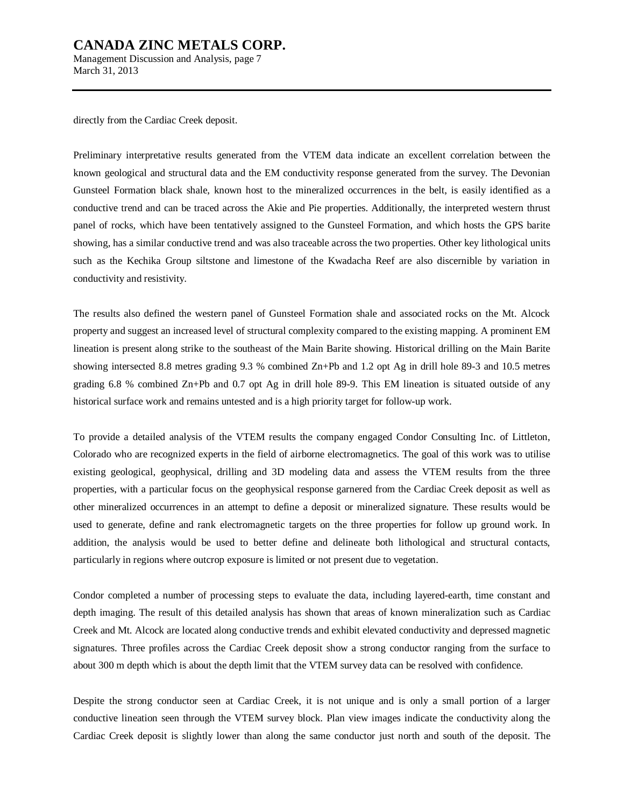Management Discussion and Analysis, page 7 March 31, 2013

directly from the Cardiac Creek deposit.

Preliminary interpretative results generated from the VTEM data indicate an excellent correlation between the known geological and structural data and the EM conductivity response generated from the survey. The Devonian Gunsteel Formation black shale, known host to the mineralized occurrences in the belt, is easily identified as a conductive trend and can be traced across the Akie and Pie properties. Additionally, the interpreted western thrust panel of rocks, which have been tentatively assigned to the Gunsteel Formation, and which hosts the GPS barite showing, has a similar conductive trend and was also traceable across the two properties. Other key lithological units such as the Kechika Group siltstone and limestone of the Kwadacha Reef are also discernible by variation in conductivity and resistivity.

The results also defined the western panel of Gunsteel Formation shale and associated rocks on the Mt. Alcock property and suggest an increased level of structural complexity compared to the existing mapping. A prominent EM lineation is present along strike to the southeast of the Main Barite showing. Historical drilling on the Main Barite showing intersected 8.8 metres grading 9.3 % combined Zn+Pb and 1.2 opt Ag in drill hole 89-3 and 10.5 metres grading 6.8 % combined Zn+Pb and 0.7 opt Ag in drill hole 89-9. This EM lineation is situated outside of any historical surface work and remains untested and is a high priority target for follow-up work.

To provide a detailed analysis of the VTEM results the company engaged Condor Consulting Inc. of Littleton, Colorado who are recognized experts in the field of airborne electromagnetics. The goal of this work was to utilise existing geological, geophysical, drilling and 3D modeling data and assess the VTEM results from the three properties, with a particular focus on the geophysical response garnered from the Cardiac Creek deposit as well as other mineralized occurrences in an attempt to define a deposit or mineralized signature. These results would be used to generate, define and rank electromagnetic targets on the three properties for follow up ground work. In addition, the analysis would be used to better define and delineate both lithological and structural contacts, particularly in regions where outcrop exposure is limited or not present due to vegetation.

Condor completed a number of processing steps to evaluate the data, including layered-earth, time constant and depth imaging. The result of this detailed analysis has shown that areas of known mineralization such as Cardiac Creek and Mt. Alcock are located along conductive trends and exhibit elevated conductivity and depressed magnetic signatures. Three profiles across the Cardiac Creek deposit show a strong conductor ranging from the surface to about 300 m depth which is about the depth limit that the VTEM survey data can be resolved with confidence.

Despite the strong conductor seen at Cardiac Creek, it is not unique and is only a small portion of a larger conductive lineation seen through the VTEM survey block. Plan view images indicate the conductivity along the Cardiac Creek deposit is slightly lower than along the same conductor just north and south of the deposit. The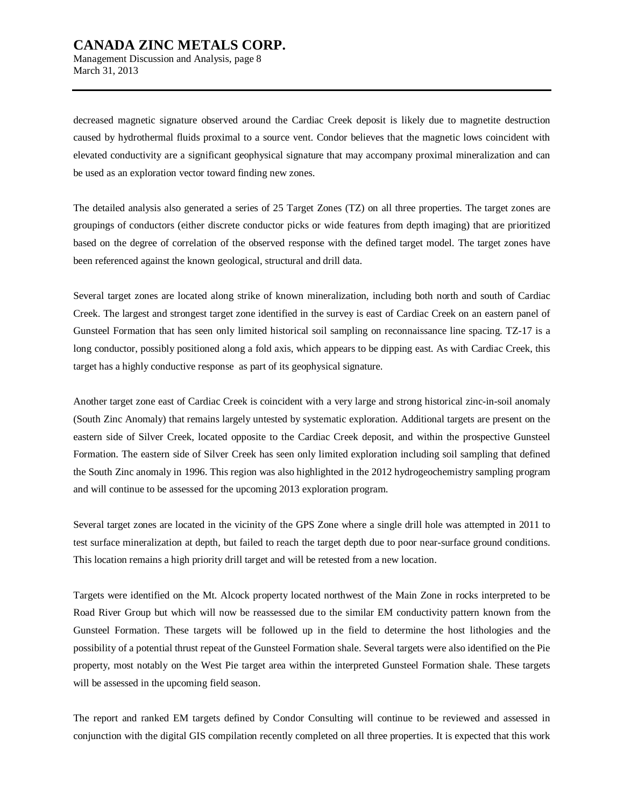Management Discussion and Analysis, page 8 March 31, 2013

decreased magnetic signature observed around the Cardiac Creek deposit is likely due to magnetite destruction caused by hydrothermal fluids proximal to a source vent. Condor believes that the magnetic lows coincident with elevated conductivity are a significant geophysical signature that may accompany proximal mineralization and can be used as an exploration vector toward finding new zones.

The detailed analysis also generated a series of 25 Target Zones (TZ) on all three properties. The target zones are groupings of conductors (either discrete conductor picks or wide features from depth imaging) that are prioritized based on the degree of correlation of the observed response with the defined target model. The target zones have been referenced against the known geological, structural and drill data.

Several target zones are located along strike of known mineralization, including both north and south of Cardiac Creek. The largest and strongest target zone identified in the survey is east of Cardiac Creek on an eastern panel of Gunsteel Formation that has seen only limited historical soil sampling on reconnaissance line spacing. TZ-17 is a long conductor, possibly positioned along a fold axis, which appears to be dipping east. As with Cardiac Creek, this target has a highly conductive response as part of its geophysical signature.

Another target zone east of Cardiac Creek is coincident with a very large and strong historical zinc-in-soil anomaly (South Zinc Anomaly) that remains largely untested by systematic exploration. Additional targets are present on the eastern side of Silver Creek, located opposite to the Cardiac Creek deposit, and within the prospective Gunsteel Formation. The eastern side of Silver Creek has seen only limited exploration including soil sampling that defined the South Zinc anomaly in 1996. This region was also highlighted in the 2012 hydrogeochemistry sampling program and will continue to be assessed for the upcoming 2013 exploration program.

Several target zones are located in the vicinity of the GPS Zone where a single drill hole was attempted in 2011 to test surface mineralization at depth, but failed to reach the target depth due to poor near-surface ground conditions. This location remains a high priority drill target and will be retested from a new location.

Targets were identified on the Mt. Alcock property located northwest of the Main Zone in rocks interpreted to be Road River Group but which will now be reassessed due to the similar EM conductivity pattern known from the Gunsteel Formation. These targets will be followed up in the field to determine the host lithologies and the possibility of a potential thrust repeat of the Gunsteel Formation shale. Several targets were also identified on the Pie property, most notably on the West Pie target area within the interpreted Gunsteel Formation shale. These targets will be assessed in the upcoming field season.

The report and ranked EM targets defined by Condor Consulting will continue to be reviewed and assessed in conjunction with the digital GIS compilation recently completed on all three properties. It is expected that this work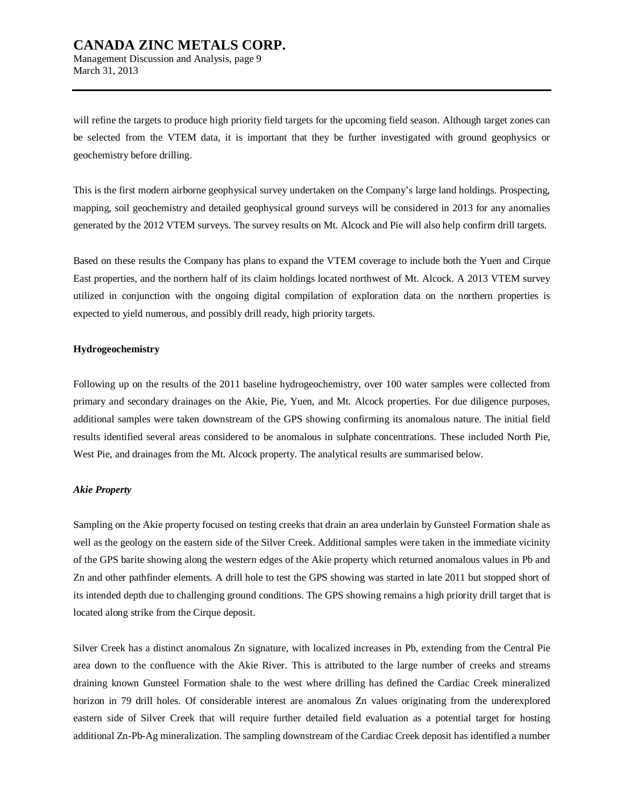will refine the targets to produce high priority field targets for the upcoming field season. Although target zones can be selected from the VTEM data, it is important that they be further investigated with ground geophysics or geochemistry before drilling.

This is the first modern airborne geophysical survey undertaken on the Company's large land holdings. Prospecting, mapping, soil geochemistry and detailed geophysical ground surveys will be considered in 2013 for any anomalies generated by the 2012 VTEM surveys. The survey results on Mt. Alcock and Pie will also help confirm drill targets.

Based on these results the Company has plans to expand the VTEM coverage to include both the Yuen and Cirque East properties, and the northern half of its claim holdings located northwest of Mt. Alcock. A 2013 VTEM survey utilized in conjunction with the ongoing digital compilation of exploration data on the northern properties is expected to yield numerous, and possibly drill ready, high priority targets.

#### **Hydrogeochemistry**

March 31, 2013

Following up on the results of the 2011 baseline hydrogeochemistry, over 100 water samples were collected from primary and secondary drainages on the Akie, Pie, Yuen, and Mt. Alcock properties. For due diligence purposes, additional samples were taken downstream of the GPS showing confirming its anomalous nature. The initial field results identified several areas considered to be anomalous in sulphate concentrations. These included North Pie, West Pie, and drainages from the Mt. Alcock property. The analytical results are summarised below.

#### *Akie Property*

Sampling on the Akie property focused on testing creeks that drain an area underlain by Gunsteel Formation shale as well as the geology on the eastern side of the Silver Creek. Additional samples were taken in the immediate vicinity of the GPS barite showing along the western edges of the Akie property which returned anomalous values in Pb and Zn and other pathfinder elements. A drill hole to test the GPS showing was started in late 2011 but stopped short of its intended depth due to challenging ground conditions. The GPS showing remains a high priority drill target that is located along strike from the Cirque deposit.

Silver Creek has a distinct anomalous Zn signature, with localized increases in Pb, extending from the Central Pie area down to the confluence with the Akie River. This is attributed to the large number of creeks and streams draining known Gunsteel Formation shale to the west where drilling has defined the Cardiac Creek mineralized horizon in 79 drill holes. Of considerable interest are anomalous Zn values originating from the underexplored eastern side of Silver Creek that will require further detailed field evaluation as a potential target for hosting additional Zn-Pb-Ag mineralization. The sampling downstream of the Cardiac Creek deposit has identified a number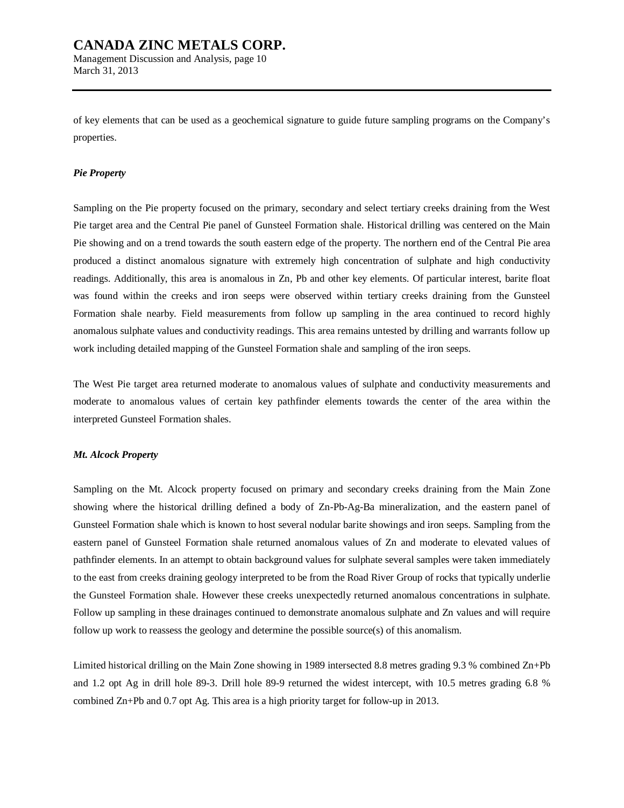of key elements that can be used as a geochemical signature to guide future sampling programs on the Company's properties.

#### *Pie Property*

March 31, 2013

Sampling on the Pie property focused on the primary, secondary and select tertiary creeks draining from the West Pie target area and the Central Pie panel of Gunsteel Formation shale. Historical drilling was centered on the Main Pie showing and on a trend towards the south eastern edge of the property. The northern end of the Central Pie area produced a distinct anomalous signature with extremely high concentration of sulphate and high conductivity readings. Additionally, this area is anomalous in Zn, Pb and other key elements. Of particular interest, barite float was found within the creeks and iron seeps were observed within tertiary creeks draining from the Gunsteel Formation shale nearby. Field measurements from follow up sampling in the area continued to record highly anomalous sulphate values and conductivity readings. This area remains untested by drilling and warrants follow up work including detailed mapping of the Gunsteel Formation shale and sampling of the iron seeps.

The West Pie target area returned moderate to anomalous values of sulphate and conductivity measurements and moderate to anomalous values of certain key pathfinder elements towards the center of the area within the interpreted Gunsteel Formation shales.

#### *Mt. Alcock Property*

Sampling on the Mt. Alcock property focused on primary and secondary creeks draining from the Main Zone showing where the historical drilling defined a body of Zn-Pb-Ag-Ba mineralization, and the eastern panel of Gunsteel Formation shale which is known to host several nodular barite showings and iron seeps. Sampling from the eastern panel of Gunsteel Formation shale returned anomalous values of Zn and moderate to elevated values of pathfinder elements. In an attempt to obtain background values for sulphate several samples were taken immediately to the east from creeks draining geology interpreted to be from the Road River Group of rocks that typically underlie the Gunsteel Formation shale. However these creeks unexpectedly returned anomalous concentrations in sulphate. Follow up sampling in these drainages continued to demonstrate anomalous sulphate and Zn values and will require follow up work to reassess the geology and determine the possible source(s) of this anomalism.

Limited historical drilling on the Main Zone showing in 1989 intersected 8.8 metres grading 9.3 % combined Zn+Pb and 1.2 opt Ag in drill hole 89-3. Drill hole 89-9 returned the widest intercept, with 10.5 metres grading 6.8 % combined Zn+Pb and 0.7 opt Ag. This area is a high priority target for follow-up in 2013.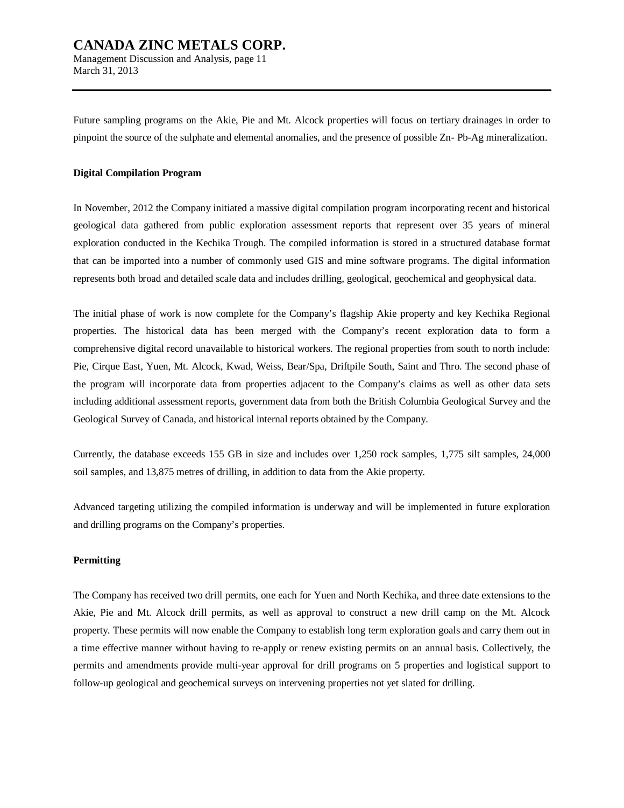Future sampling programs on the Akie, Pie and Mt. Alcock properties will focus on tertiary drainages in order to pinpoint the source of the sulphate and elemental anomalies, and the presence of possible Zn- Pb-Ag mineralization.

#### **Digital Compilation Program**

In November, 2012 the Company initiated a massive digital compilation program incorporating recent and historical geological data gathered from public exploration assessment reports that represent over 35 years of mineral exploration conducted in the Kechika Trough. The compiled information is stored in a structured database format that can be imported into a number of commonly used GIS and mine software programs. The digital information represents both broad and detailed scale data and includes drilling, geological, geochemical and geophysical data.

The initial phase of work is now complete for the Company's flagship Akie property and key Kechika Regional properties. The historical data has been merged with the Company's recent exploration data to form a comprehensive digital record unavailable to historical workers. The regional properties from south to north include: Pie, Cirque East, Yuen, Mt. Alcock, Kwad, Weiss, Bear/Spa, Driftpile South, Saint and Thro. The second phase of the program will incorporate data from properties adjacent to the Company's claims as well as other data sets including additional assessment reports, government data from both the British Columbia Geological Survey and the Geological Survey of Canada, and historical internal reports obtained by the Company.

Currently, the database exceeds 155 GB in size and includes over 1,250 rock samples, 1,775 silt samples, 24,000 soil samples, and 13,875 metres of drilling, in addition to data from the Akie property.

Advanced targeting utilizing the compiled information is underway and will be implemented in future exploration and drilling programs on the Company's properties.

### **Permitting**

The Company has received two drill permits, one each for Yuen and North Kechika, and three date extensions to the Akie, Pie and Mt. Alcock drill permits, as well as approval to construct a new drill camp on the Mt. Alcock property. These permits will now enable the Company to establish long term exploration goals and carry them out in a time effective manner without having to re-apply or renew existing permits on an annual basis. Collectively, the permits and amendments provide multi-year approval for drill programs on 5 properties and logistical support to follow-up geological and geochemical surveys on intervening properties not yet slated for drilling.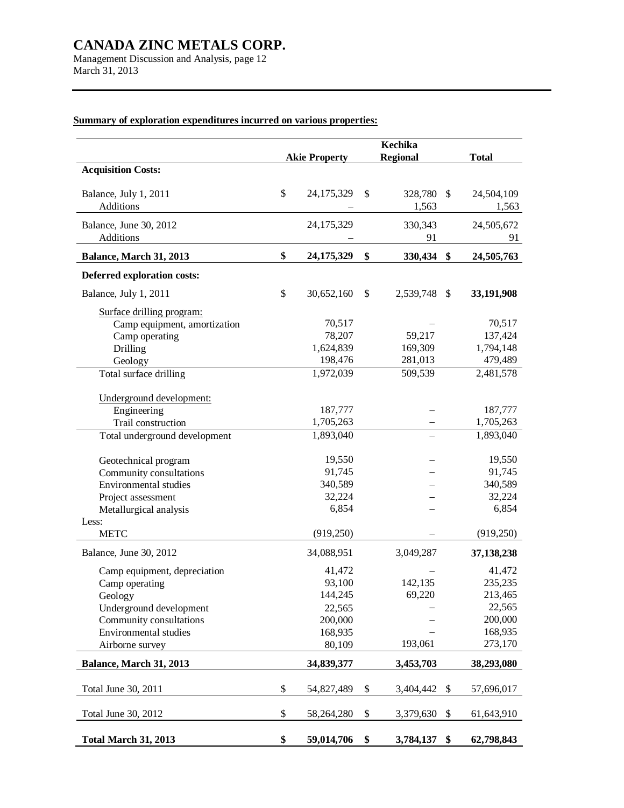Management Discussion and Analysis, page 12 March 31, 2013

# **Akie Property Kechika Regional Total Acquisition Costs:** Balance, July 1, 2011 \$ 24,175,329 \$ 328,780 \$ 24,504,109 Additions **1,563** 1,563 1,563 Balance, June 30, 2012 24,175,329 330,343 24,505,672 Additions **6** 91 91 91 **Balance, March 31, 2013 \$ 24,175,329 \$ 330,434 \$ 24,505,763 Deferred exploration costs:**  Balance, July 1, 2011 \$ 30,652,160 \$ 2,539,748 \$ **33,191,908** Surface drilling program: Camp equipment, amortization  $70,517$  –  $70,517$ Camp operating 78,207 59,217 137,424 Drilling 1,624,839 169,309 1,794,148 Geology 198,476 281,013 479,489 Total surface drilling 1,972,039 509,539 2,481,578 Underground development: Engineering 187,777 – 187,777 Trail construction 1,705,263 – 1,705,263 Total underground development 1,893,040 – 1,893,040 Geotechnical program 19,550 – 19,550<br>
Community consultations 91,745 – 91,745 Community consultations  $91,745$  – 91,745<br>Environmental studies 340.589 – 340.589 Environmental studies Project assessment 32,224 – 32,224 Metallurgical analysis 6,854 – 6,854 – 6,854 Less: METC (919,250) – (919,250) Balance, June 30, 2012 34,088,951 3,049,287 **37,138,238**  Camp equipment, depreciation  $41,472$  –  $41,472$ Camp operating 93,100 142,135 235,235 Geology 144,245 69,220 213,465 Underground development 22,565 – 22,565 Community consultations 200,000 – 200,000 Environmental studies 168,935 – 168,935 Airborne survey 80,109 193,061 273,170 **Balance, March 31, 2013 34,839,377 3,453,703 38,293,080**  Total June 30, 2011  $\qquad \qquad$  \$ 54,827,489 \$ 3,404,442 \$ 57,696,017 Total June 30, 2012 <br>\$ 58,264,280 \$ 3,379,630 \$ 61,643,910 **Total March 31, 2013 \$ 59,014,706 \$ 3,784,137 \$ 62,798,843**

### **Summary of exploration expenditures incurred on various properties:**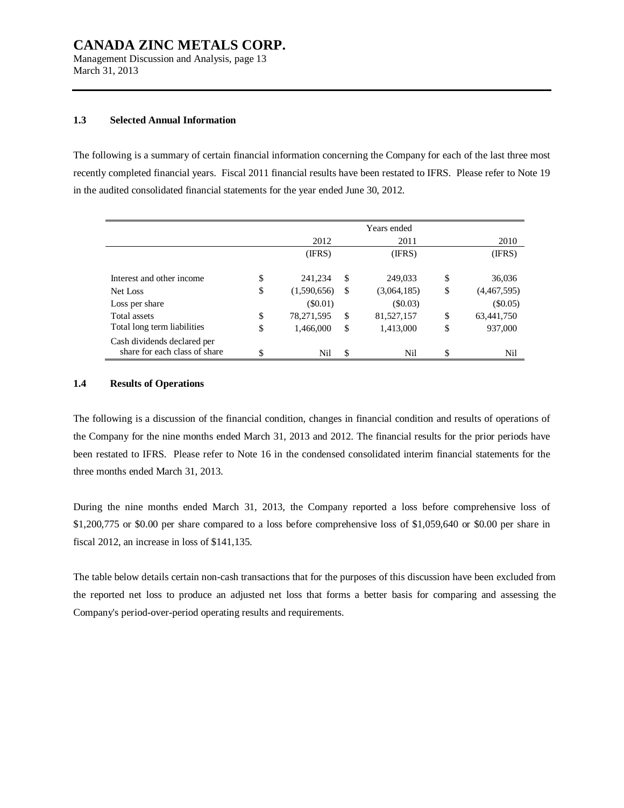Management Discussion and Analysis, page 13 March 31, 2013

### **1.3 Selected Annual Information**

The following is a summary of certain financial information concerning the Company for each of the last three most recently completed financial years. Fiscal 2011 financial results have been restated to IFRS. Please refer to Note 19 in the audited consolidated financial statements for the year ended June 30, 2012.

|                               |                   | Years ended       |                   |
|-------------------------------|-------------------|-------------------|-------------------|
|                               | 2012              | 2011              | 2010              |
|                               | (IFRS)            | (IFRS)            | (IFRS)            |
|                               |                   |                   |                   |
| Interest and other income     | \$<br>241,234     | \$<br>249,033     | \$<br>36,036      |
| Net Loss                      | \$<br>(1,590,656) | \$<br>(3,064,185) | \$<br>(4,467,595) |
| Loss per share                | $($ \$0.01)       | (\$0.03)          | $(\$0.05)$        |
| Total assets                  | \$<br>78,271,595  | \$<br>81,527,157  | \$<br>63,441,750  |
| Total long term liabilities   | \$<br>1,466,000   | \$<br>1,413,000   | \$<br>937,000     |
| Cash dividends declared per   |                   |                   |                   |
| share for each class of share | \$<br>Nil         | \$<br>Nil         | \$<br>Nil         |

#### **1.4 Results of Operations**

The following is a discussion of the financial condition, changes in financial condition and results of operations of the Company for the nine months ended March 31, 2013 and 2012. The financial results for the prior periods have been restated to IFRS. Please refer to Note 16 in the condensed consolidated interim financial statements for the three months ended March 31, 2013.

During the nine months ended March 31, 2013, the Company reported a loss before comprehensive loss of \$1,200,775 or \$0.00 per share compared to a loss before comprehensive loss of \$1,059,640 or \$0.00 per share in fiscal 2012, an increase in loss of \$141,135.

The table below details certain non-cash transactions that for the purposes of this discussion have been excluded from the reported net loss to produce an adjusted net loss that forms a better basis for comparing and assessing the Company's period-over-period operating results and requirements.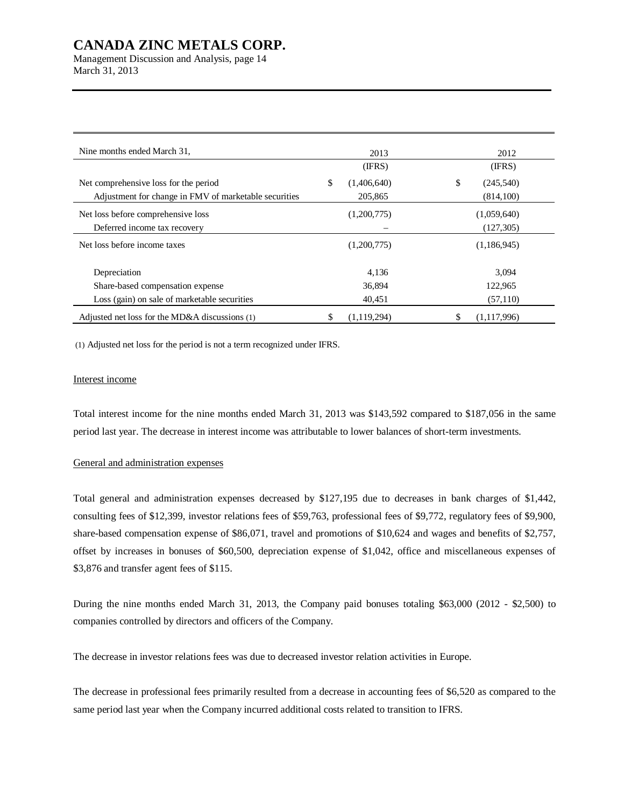Management Discussion and Analysis, page 14 March 31, 2013

| Nine months ended March 31,                           |    | 2013        |    | 2012        |
|-------------------------------------------------------|----|-------------|----|-------------|
|                                                       |    | (IFRS)      |    | (IFRS)      |
| Net comprehensive loss for the period                 | \$ | (1,406,640) | \$ | (245,540)   |
| Adjustment for change in FMV of marketable securities |    | 205,865     |    | (814,100)   |
| Net loss before comprehensive loss                    |    | (1,200,775) |    | (1,059,640) |
| Deferred income tax recovery                          |    |             |    | (127, 305)  |
| Net loss before income taxes                          |    | (1,200,775) |    | (1,186,945) |
| Depreciation                                          |    | 4,136       |    | 3,094       |
| Share-based compensation expense                      |    | 36.894      |    | 122,965     |
| Loss (gain) on sale of marketable securities          |    | 40,451      |    | (57, 110)   |
| Adjusted net loss for the MD&A discussions $(1)$      | S  | (1,119,294) | S  | (1,117,996) |

(1) Adjusted net loss for the period is not a term recognized under IFRS.

#### Interest income

Total interest income for the nine months ended March 31, 2013 was \$143,592 compared to \$187,056 in the same period last year. The decrease in interest income was attributable to lower balances of short-term investments.

### General and administration expenses

Total general and administration expenses decreased by \$127,195 due to decreases in bank charges of \$1,442, consulting fees of \$12,399, investor relations fees of \$59,763, professional fees of \$9,772, regulatory fees of \$9,900, share-based compensation expense of \$86,071, travel and promotions of \$10,624 and wages and benefits of \$2,757, offset by increases in bonuses of \$60,500, depreciation expense of \$1,042, office and miscellaneous expenses of \$3,876 and transfer agent fees of \$115.

During the nine months ended March 31, 2013, the Company paid bonuses totaling \$63,000 (2012 - \$2,500) to companies controlled by directors and officers of the Company.

The decrease in investor relations fees was due to decreased investor relation activities in Europe.

The decrease in professional fees primarily resulted from a decrease in accounting fees of \$6,520 as compared to the same period last year when the Company incurred additional costs related to transition to IFRS.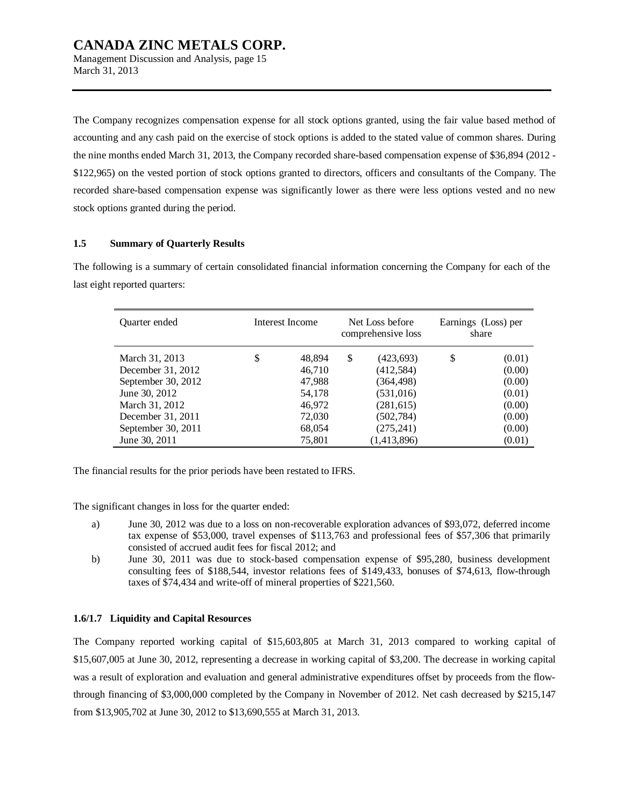March 31, 2013

The Company recognizes compensation expense for all stock options granted, using the fair value based method of accounting and any cash paid on the exercise of stock options is added to the stated value of common shares. During the nine months ended March 31, 2013, the Company recorded share-based compensation expense of \$36,894 (2012 - \$122,965) on the vested portion of stock options granted to directors, officers and consultants of the Company. The recorded share-based compensation expense was significantly lower as there were less options vested and no new stock options granted during the period.

### **1.5 Summary of Quarterly Results**

The following is a summary of certain consolidated financial information concerning the Company for each of the last eight reported quarters:

| Quarter ended      | Interest Income | Net Loss before<br>comprehensive loss |             | Earnings (Loss) per<br>share |        |
|--------------------|-----------------|---------------------------------------|-------------|------------------------------|--------|
| March 31, 2013     | \$<br>48,894    | \$                                    | (423, 693)  | \$                           | (0.01) |
| December 31, 2012  | 46,710          |                                       | (412, 584)  |                              | (0.00) |
| September 30, 2012 | 47,988          |                                       | (364, 498)  |                              | (0.00) |
| June 30, 2012      | 54,178          |                                       | (531,016)   |                              | (0.01) |
| March 31, 2012     | 46,972          |                                       | (281, 615)  |                              | (0.00) |
| December 31, 2011  | 72,030          |                                       | (502, 784)  |                              | (0.00) |
| September 30, 2011 | 68,054          |                                       | (275, 241)  |                              | (0.00) |
| June 30, 2011      | 75,801          |                                       | (1,413,896) |                              | (0.01) |

The financial results for the prior periods have been restated to IFRS.

The significant changes in loss for the quarter ended:

- a) June 30, 2012 was due to a loss on non-recoverable exploration advances of \$93,072, deferred income tax expense of \$53,000, travel expenses of \$113,763 and professional fees of \$57,306 that primarily consisted of accrued audit fees for fiscal 2012; and
- b) June 30, 2011 was due to stock-based compensation expense of \$95,280, business development consulting fees of \$188,544, investor relations fees of \$149,433, bonuses of \$74,613, flow-through taxes of \$74,434 and write-off of mineral properties of \$221,560.

### **1.6/1.7 Liquidity and Capital Resources**

The Company reported working capital of \$15,603,805 at March 31, 2013 compared to working capital of \$15,607,005 at June 30, 2012, representing a decrease in working capital of \$3,200. The decrease in working capital was a result of exploration and evaluation and general administrative expenditures offset by proceeds from the flowthrough financing of \$3,000,000 completed by the Company in November of 2012. Net cash decreased by \$215,147 from \$13,905,702 at June 30, 2012 to \$13,690,555 at March 31, 2013.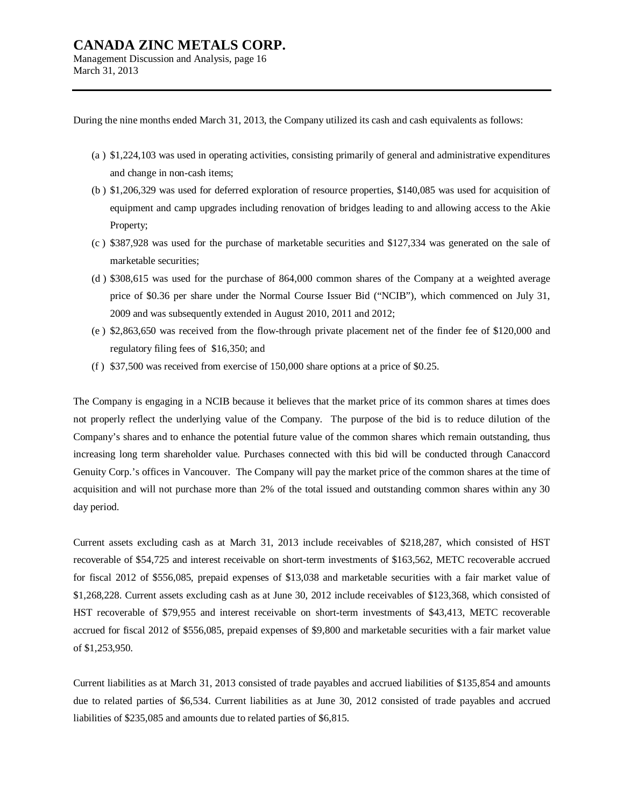Management Discussion and Analysis, page 16 March 31, 2013

During the nine months ended March 31, 2013, the Company utilized its cash and cash equivalents as follows:

- (a ) \$1,224,103 was used in operating activities, consisting primarily of general and administrative expenditures and change in non-cash items;
- (b ) \$1,206,329 was used for deferred exploration of resource properties, \$140,085 was used for acquisition of equipment and camp upgrades including renovation of bridges leading to and allowing access to the Akie Property;
- (c ) \$387,928 was used for the purchase of marketable securities and \$127,334 was generated on the sale of marketable securities;
- (d ) \$308,615 was used for the purchase of 864,000 common shares of the Company at a weighted average price of \$0.36 per share under the Normal Course Issuer Bid ("NCIB"), which commenced on July 31, 2009 and was subsequently extended in August 2010, 2011 and 2012;
- (e ) \$2,863,650 was received from the flow-through private placement net of the finder fee of \$120,000 and regulatory filing fees of \$16,350; and
- (f ) \$37,500 was received from exercise of 150,000 share options at a price of \$0.25.

The Company is engaging in a NCIB because it believes that the market price of its common shares at times does not properly reflect the underlying value of the Company. The purpose of the bid is to reduce dilution of the Company's shares and to enhance the potential future value of the common shares which remain outstanding, thus increasing long term shareholder value. Purchases connected with this bid will be conducted through Canaccord Genuity Corp.'s offices in Vancouver. The Company will pay the market price of the common shares at the time of acquisition and will not purchase more than 2% of the total issued and outstanding common shares within any 30 day period.

Current assets excluding cash as at March 31, 2013 include receivables of \$218,287, which consisted of HST recoverable of \$54,725 and interest receivable on short-term investments of \$163,562, METC recoverable accrued for fiscal 2012 of \$556,085, prepaid expenses of \$13,038 and marketable securities with a fair market value of \$1,268,228. Current assets excluding cash as at June 30, 2012 include receivables of \$123,368, which consisted of HST recoverable of \$79,955 and interest receivable on short-term investments of \$43,413, METC recoverable accrued for fiscal 2012 of \$556,085, prepaid expenses of \$9,800 and marketable securities with a fair market value of \$1,253,950.

Current liabilities as at March 31, 2013 consisted of trade payables and accrued liabilities of \$135,854 and amounts due to related parties of \$6,534. Current liabilities as at June 30, 2012 consisted of trade payables and accrued liabilities of \$235,085 and amounts due to related parties of \$6,815.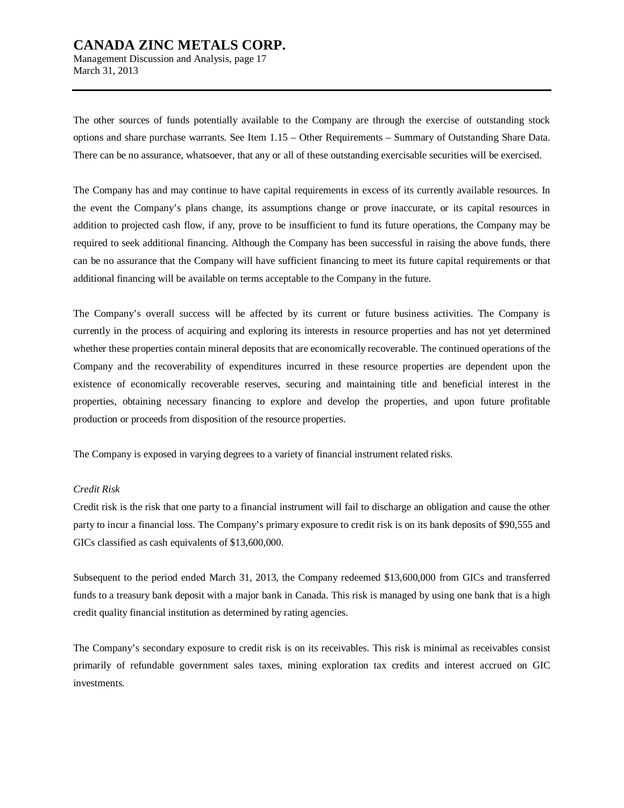Management Discussion and Analysis, page 17 March 31, 2013

The other sources of funds potentially available to the Company are through the exercise of outstanding stock options and share purchase warrants. See Item 1.15 – Other Requirements – Summary of Outstanding Share Data. There can be no assurance, whatsoever, that any or all of these outstanding exercisable securities will be exercised.

The Company has and may continue to have capital requirements in excess of its currently available resources. In the event the Company's plans change, its assumptions change or prove inaccurate, or its capital resources in addition to projected cash flow, if any, prove to be insufficient to fund its future operations, the Company may be required to seek additional financing. Although the Company has been successful in raising the above funds, there can be no assurance that the Company will have sufficient financing to meet its future capital requirements or that additional financing will be available on terms acceptable to the Company in the future.

The Company's overall success will be affected by its current or future business activities. The Company is currently in the process of acquiring and exploring its interests in resource properties and has not yet determined whether these properties contain mineral deposits that are economically recoverable. The continued operations of the Company and the recoverability of expenditures incurred in these resource properties are dependent upon the existence of economically recoverable reserves, securing and maintaining title and beneficial interest in the properties, obtaining necessary financing to explore and develop the properties, and upon future profitable production or proceeds from disposition of the resource properties.

The Company is exposed in varying degrees to a variety of financial instrument related risks.

#### *Credit Risk*

Credit risk is the risk that one party to a financial instrument will fail to discharge an obligation and cause the other party to incur a financial loss. The Company's primary exposure to credit risk is on its bank deposits of \$90,555 and GICs classified as cash equivalents of \$13,600,000.

Subsequent to the period ended March 31, 2013, the Company redeemed \$13,600,000 from GICs and transferred funds to a treasury bank deposit with a major bank in Canada. This risk is managed by using one bank that is a high credit quality financial institution as determined by rating agencies.

The Company's secondary exposure to credit risk is on its receivables. This risk is minimal as receivables consist primarily of refundable government sales taxes, mining exploration tax credits and interest accrued on GIC investments.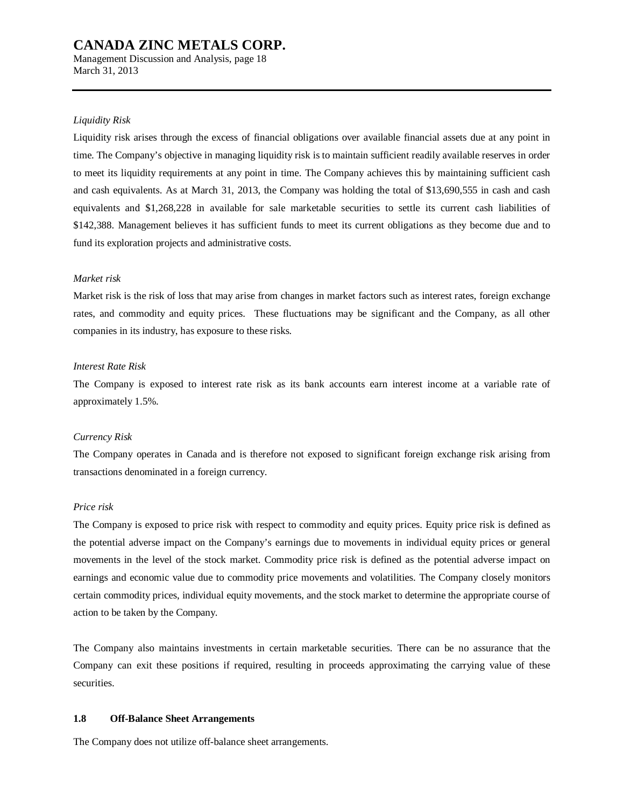Management Discussion and Analysis, page 18 March 31, 2013

#### *Liquidity Risk*

Liquidity risk arises through the excess of financial obligations over available financial assets due at any point in time. The Company's objective in managing liquidity risk is to maintain sufficient readily available reserves in order to meet its liquidity requirements at any point in time. The Company achieves this by maintaining sufficient cash and cash equivalents. As at March 31, 2013, the Company was holding the total of \$13,690,555 in cash and cash equivalents and \$1,268,228 in available for sale marketable securities to settle its current cash liabilities of \$142,388. Management believes it has sufficient funds to meet its current obligations as they become due and to fund its exploration projects and administrative costs.

#### *Market risk*

Market risk is the risk of loss that may arise from changes in market factors such as interest rates, foreign exchange rates, and commodity and equity prices. These fluctuations may be significant and the Company, as all other companies in its industry, has exposure to these risks.

#### *Interest Rate Risk*

The Company is exposed to interest rate risk as its bank accounts earn interest income at a variable rate of approximately 1.5%.

#### *Currency Risk*

The Company operates in Canada and is therefore not exposed to significant foreign exchange risk arising from transactions denominated in a foreign currency.

#### *Price risk*

The Company is exposed to price risk with respect to commodity and equity prices. Equity price risk is defined as the potential adverse impact on the Company's earnings due to movements in individual equity prices or general movements in the level of the stock market. Commodity price risk is defined as the potential adverse impact on earnings and economic value due to commodity price movements and volatilities. The Company closely monitors certain commodity prices, individual equity movements, and the stock market to determine the appropriate course of action to be taken by the Company.

The Company also maintains investments in certain marketable securities. There can be no assurance that the Company can exit these positions if required, resulting in proceeds approximating the carrying value of these securities.

### **1.8 Off-Balance Sheet Arrangements**

The Company does not utilize off-balance sheet arrangements.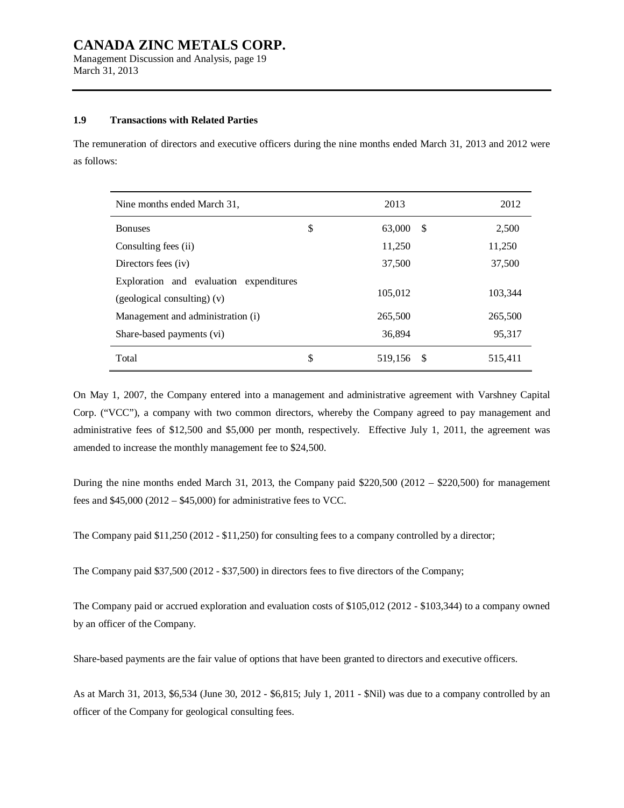Management Discussion and Analysis, page 19 March 31, 2013

### **1.9 Transactions with Related Parties**

The remuneration of directors and executive officers during the nine months ended March 31, 2013 and 2012 were as follows:

| Nine months ended March 31,             | 2013          |      | 2012    |
|-----------------------------------------|---------------|------|---------|
| <b>Bonuses</b>                          | \$<br>63,000  | -S   | 2,500   |
| Consulting fees (ii)                    | 11,250        |      | 11,250  |
| Directors fees (iv)                     | 37,500        |      | 37,500  |
| Exploration and evaluation expenditures |               |      |         |
| (geological consulting) (v)             | 105,012       |      | 103,344 |
| Management and administration (i)       | 265,500       |      | 265,500 |
| Share-based payments (vi)               | 36,894        |      | 95.317  |
| Total                                   | \$<br>519,156 | - \$ | 515,411 |

On May 1, 2007, the Company entered into a management and administrative agreement with Varshney Capital Corp. ("VCC"), a company with two common directors, whereby the Company agreed to pay management and administrative fees of \$12,500 and \$5,000 per month, respectively. Effective July 1, 2011, the agreement was amended to increase the monthly management fee to \$24,500.

During the nine months ended March 31, 2013, the Company paid \$220,500 (2012 – \$220,500) for management fees and \$45,000 (2012 – \$45,000) for administrative fees to VCC.

The Company paid \$11,250 (2012 - \$11,250) for consulting fees to a company controlled by a director;

The Company paid \$37,500 (2012 - \$37,500) in directors fees to five directors of the Company;

The Company paid or accrued exploration and evaluation costs of \$105,012 (2012 - \$103,344) to a company owned by an officer of the Company.

Share-based payments are the fair value of options that have been granted to directors and executive officers.

As at March 31, 2013, \$6,534 (June 30, 2012 - \$6,815; July 1, 2011 - \$Nil) was due to a company controlled by an officer of the Company for geological consulting fees.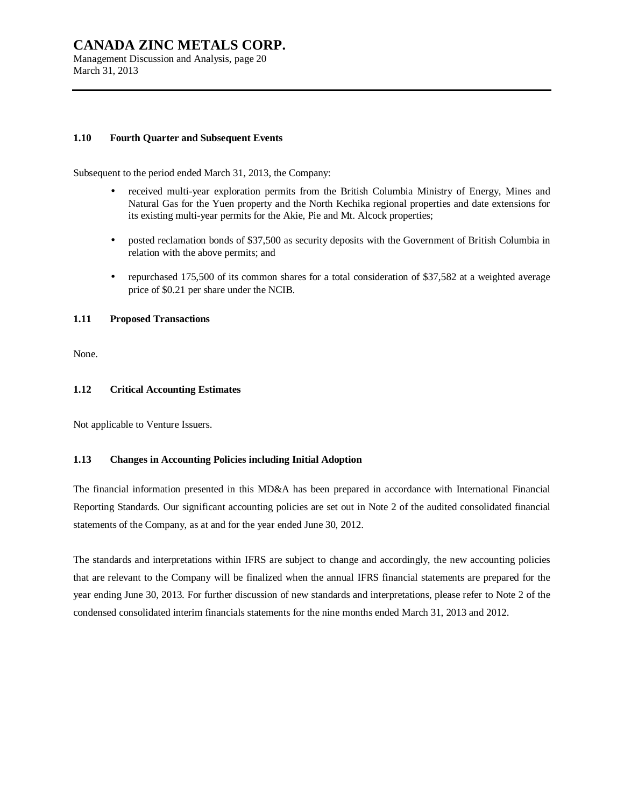Management Discussion and Analysis, page 20 March 31, 2013

### **1.10 Fourth Quarter and Subsequent Events**

Subsequent to the period ended March 31, 2013, the Company:

- received multi-year exploration permits from the British Columbia Ministry of Energy, Mines and Natural Gas for the Yuen property and the North Kechika regional properties and date extensions for its existing multi-year permits for the Akie, Pie and Mt. Alcock properties;
- posted reclamation bonds of \$37,500 as security deposits with the Government of British Columbia in relation with the above permits; and
- repurchased 175,500 of its common shares for a total consideration of \$37,582 at a weighted average price of \$0.21 per share under the NCIB.

### **1.11 Proposed Transactions**

None.

#### **1.12 Critical Accounting Estimates**

Not applicable to Venture Issuers.

### **1.13 Changes in Accounting Policies including Initial Adoption**

The financial information presented in this MD&A has been prepared in accordance with International Financial Reporting Standards. Our significant accounting policies are set out in Note 2 of the audited consolidated financial statements of the Company, as at and for the year ended June 30, 2012.

The standards and interpretations within IFRS are subject to change and accordingly, the new accounting policies that are relevant to the Company will be finalized when the annual IFRS financial statements are prepared for the year ending June 30, 2013. For further discussion of new standards and interpretations, please refer to Note 2 of the condensed consolidated interim financials statements for the nine months ended March 31, 2013 and 2012.